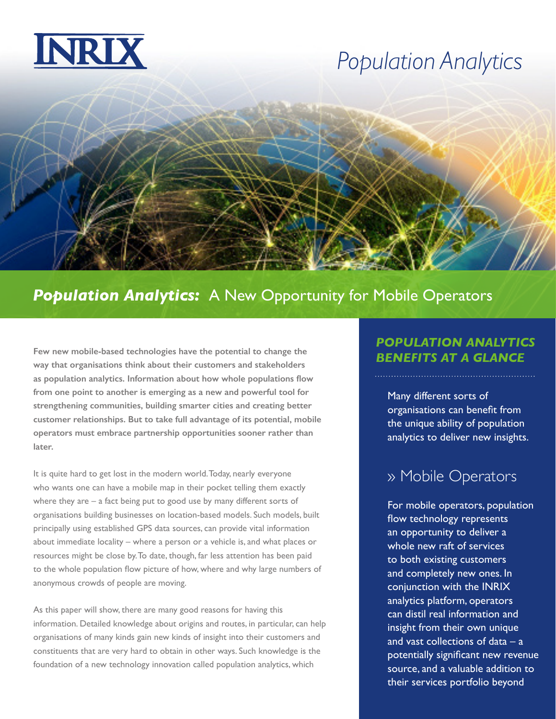

## *Population Analytics*

### *Population Analytics:* A New Opportunity for Mobile Operators

Few new mobile-based technologies have the potential to change the **BENEFITS AT A GLANCE way that organisations think about their customers and stakeholders as population analytics. Information about how whole populations flow from one point to another is emerging as a new and powerful tool for strengthening communities, building smarter cities and creating better customer relationships. But to take full advantage of its potential, mobile operators must embrace partnership opportunities sooner rather than later.**

It is quite hard to get lost in the modern world. Today, nearly everyone who wants one can have a mobile map in their pocket telling them exactly where they are – a fact being put to good use by many different sorts of organisations building businesses on location-based models. Such models, built principally using established GPS data sources, can provide vital information about immediate locality – where a person or a vehicle is, and what places or resources might be close by. To date, though, far less attention has been paid to the whole population flow picture of how, where and why large numbers of anonymous crowds of people are moving.

As this paper will show, there are many good reasons for having this information. Detailed knowledge about origins and routes, in particular, can help organisations of many kinds gain new kinds of insight into their customers and constituents that are very hard to obtain in other ways. Such knowledge is the foundation of a new technology innovation called population analytics, which

# *POPULATION ANALYTICS*

Many different sorts of organisations can benefit from the unique ability of population analytics to deliver new insights.

#### » Mobile Operators

For mobile operators, population flow technology represents an opportunity to deliver a whole new raft of services to both existing customers and completely new ones. In conjunction with the INRIX analytics platform, operators can distil real information and insight from their own unique and vast collections of data – a potentially significant new revenue source, and a valuable addition to their services portfolio beyond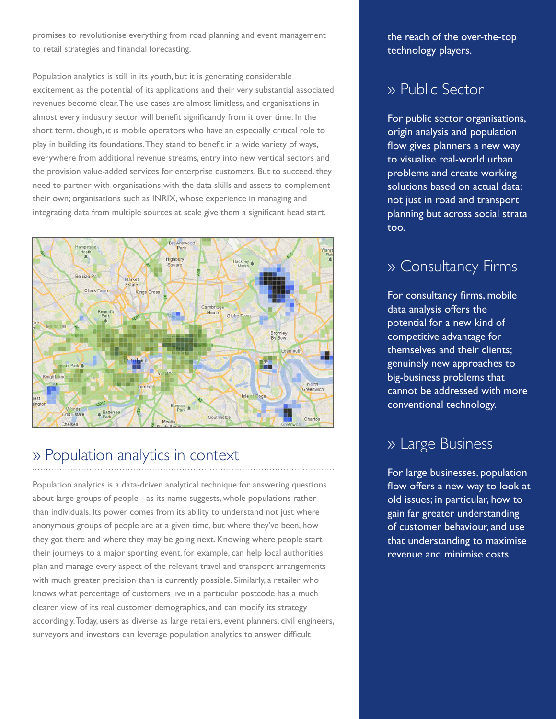promises to revolutionise everything from road planning and event management to retail strategies and financial forecasting.

Population analytics is still in its youth, but it is generating considerable excitement as the potential of its applications and their very substantial associated revenues become clear. The use cases are almost limitless, and organisations in almost every industry sector will benefit significantly from it over time. In the short term, though, it is mobile operators who have an especially critical role to play in building its foundations. They stand to benefit in a wide variety of ways, everywhere from additional revenue streams, entry into new vertical sectors and the provision value-added services for enterprise customers. But to succeed, they need to partner with organisations with the data skills and assets to complement their own; organisations such as INRIX, whose experience in managing and integrating data from multiple sources at scale give them a significant head start.



### » Population analytics in context

Population analytics is a data-driven analytical technique for answering questions about large groups of people - as its name suggests, whole populations rather than individuals. Its power comes from its ability to understand not just where anonymous groups of people are at a given time, but where they've been, how they got there and where they may be going next. Knowing where people start their journeys to a major sporting event, for example, can help local authorities plan and manage every aspect of the relevant travel and transport arrangements with much greater precision than is currently possible. Similarly, a retailer who knows what percentage of customers live in a particular postcode has a much clearer view of its real customer demographics, and can modify its strategy accordingly. Today, users as diverse as large retailers, event planners, civil engineers, surveyors and investors can leverage population analytics to answer difficult

the reach of the over-the-top technology players.

#### » Public Sector

For public sector organisations, origin analysis and population flow gives planners a new way to visualise real-world urban problems and create working solutions based on actual data; not just in road and transport planning but across social strata too.

#### » Consultancy Firms

For consultancy firms, mobile data analysis offers the potential for a new kind of competitive advantage for themselves and their clients; genuinely new approaches to big-business problems that cannot be addressed with more conventional technology.

#### » Large Business

For large businesses, population flow offers a new way to look at old issues; in particular, how to gain far greater understanding of customer behaviour, and use that understanding to maximise revenue and minimise costs.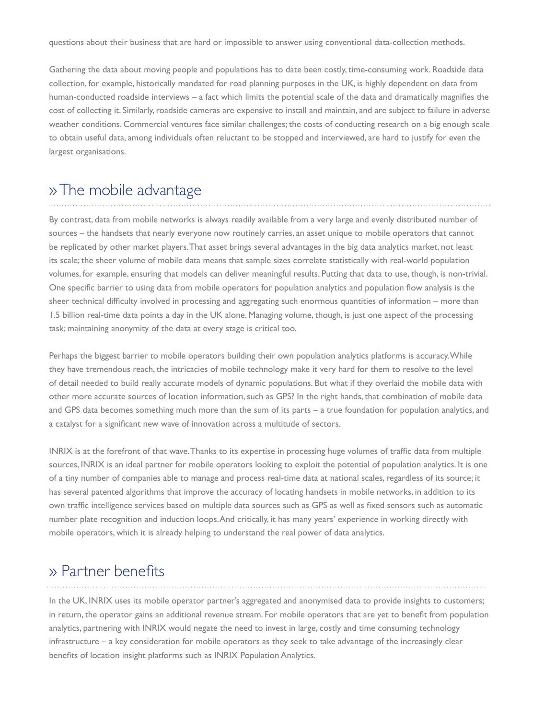questions about their business that are hard or impossible to answer using conventional data-collection methods.

Gathering the data about moving people and populations has to date been costly, time-consuming work. Roadside data collection, for example, historically mandated for road planning purposes in the UK, is highly dependent on data from human-conducted roadside interviews – a fact which limits the potential scale of the data and dramatically magnifies the cost of collecting it. Similarly, roadside cameras are expensive to install and maintain, and are subject to failure in adverse weather conditions. Commercial ventures face similar challenges; the costs of conducting research on a big enough scale to obtain useful data, among individuals often reluctant to be stopped and interviewed, are hard to justify for even the largest organisations.

#### » The mobile advantage

By contrast, data from mobile networks is always readily available from a very large and evenly distributed number of sources – the handsets that nearly everyone now routinely carries, an asset unique to mobile operators that cannot be replicated by other market players. That asset brings several advantages in the big data analytics market, not least its scale; the sheer volume of mobile data means that sample sizes correlate statistically with real-world population volumes, for example, ensuring that models can deliver meaningful results. Putting that data to use, though, is non-trivial. One specific barrier to using data from mobile operators for population analytics and population flow analysis is the sheer technical difficulty involved in processing and aggregating such enormous quantities of information – more than 1.5 billion real-time data points a day in the UK alone. Managing volume, though, is just one aspect of the processing task; maintaining anonymity of the data at every stage is critical too.

Perhaps the biggest barrier to mobile operators building their own population analytics platforms is accuracy. While they have tremendous reach, the intricacies of mobile technology make it very hard for them to resolve to the level of detail needed to build really accurate models of dynamic populations. But what if they overlaid the mobile data with other more accurate sources of location information, such as GPS? In the right hands, that combination of mobile data and GPS data becomes something much more than the sum of its parts – a true foundation for population analytics, and a catalyst for a significant new wave of innovation across a multitude of sectors.

INRIX is at the forefront of that wave. Thanks to its expertise in processing huge volumes of traffic data from multiple sources, INRIX is an ideal partner for mobile operators looking to exploit the potential of population analytics. It is one of a tiny number of companies able to manage and process real-time data at national scales, regardless of its source; it has several patented algorithms that improve the accuracy of locating handsets in mobile networks, in addition to its own traffic intelligence services based on multiple data sources such as GPS as well as fixed sensors such as automatic number plate recognition and induction loops. And critically, it has many years' experience in working directly with mobile operators, which it is already helping to understand the real power of data analytics.

#### » Partner benefits

In the UK, INRIX uses its mobile operator partner's aggregated and anonymised data to provide insights to customers; in return, the operator gains an additional revenue stream. For mobile operators that are yet to benefit from population analytics, partnering with INRIX would negate the need to invest in large, costly and time consuming technology infrastructure – a key consideration for mobile operators as they seek to take advantage of the increasingly clear benefits of location insight platforms such as INRIX Population Analytics.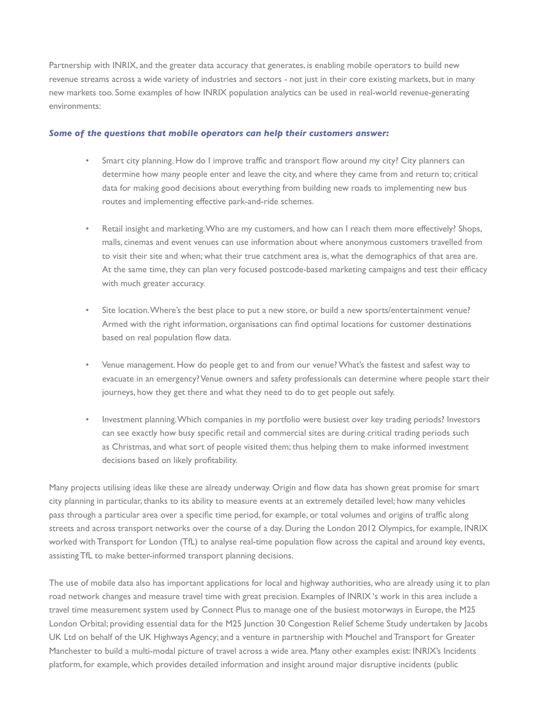Partnership with INRIX, and the greater data accuracy that generates, is enabling mobile operators to build new revenue streams across a wide variety of industries and sectors - not just in their core existing markets, but in many new markets too. Some examples of how INRIX population analytics can be used in real-world revenue-generating environments:

#### *Some of the questions that mobile operators can help their customers answer:*

- Smart city planning. How do I improve traffic and transport flow around my city? City planners can determine how many people enter and leave the city, and where they came from and return to; critical data for making good decisions about everything from building new roads to implementing new bus routes and implementing effective park-and-ride schemes.
- Retail insight and marketing. Who are my customers, and how can I reach them more effectively? Shops, malls, cinemas and event venues can use information about where anonymous customers travelled from to visit their site and when; what their true catchment area is, what the demographics of that area are. At the same time, they can plan very focused postcode-based marketing campaigns and test their efficacy with much greater accuracy.
- Site location. Where's the best place to put a new store, or build a new sports/entertainment venue? Armed with the right information, organisations can find optimal locations for customer destinations based on real population flow data.
- Venue management. How do people get to and from our venue? What's the fastest and safest way to evacuate in an emergency? Venue owners and safety professionals can determine where people start their journeys, how they get there and what they need to do to get people out safely.
- Investment planning. Which companies in my portfolio were busiest over key trading periods? Investors can see exactly how busy specific retail and commercial sites are during critical trading periods such as Christmas, and what sort of people visited them; thus helping them to make informed investment decisions based on likely profitability.

Many projects utilising ideas like these are already underway. Origin and flow data has shown great promise for smart city planning in particular, thanks to its ability to measure events at an extremely detailed level; how many vehicles pass through a particular area over a specific time period, for example, or total volumes and origins of traffic along streets and across transport networks over the course of a day. During the London 2012 Olympics, for example, INRIX worked with Transport for London (TfL) to analyse real-time population flow across the capital and around key events, assisting TfL to make better-informed transport planning decisions.

The use of mobile data also has important applications for local and highway authorities, who are already using it to plan road network changes and measure travel time with great precision. Examples of INRIX 's work in this area include a travel time measurement system used by Connect Plus to manage one of the busiest motorways in Europe, the M25 London Orbital; providing essential data for the M25 Junction 30 Congestion Relief Scheme Study undertaken by Jacobs UK Ltd on behalf of the UK Highways Agency; and a venture in partnership with Mouchel and Transport for Greater Manchester to build a multi-modal picture of travel across a wide area. Many other examples exist: INRIX's Incidents platform, for example, which provides detailed information and insight around major disruptive incidents (public